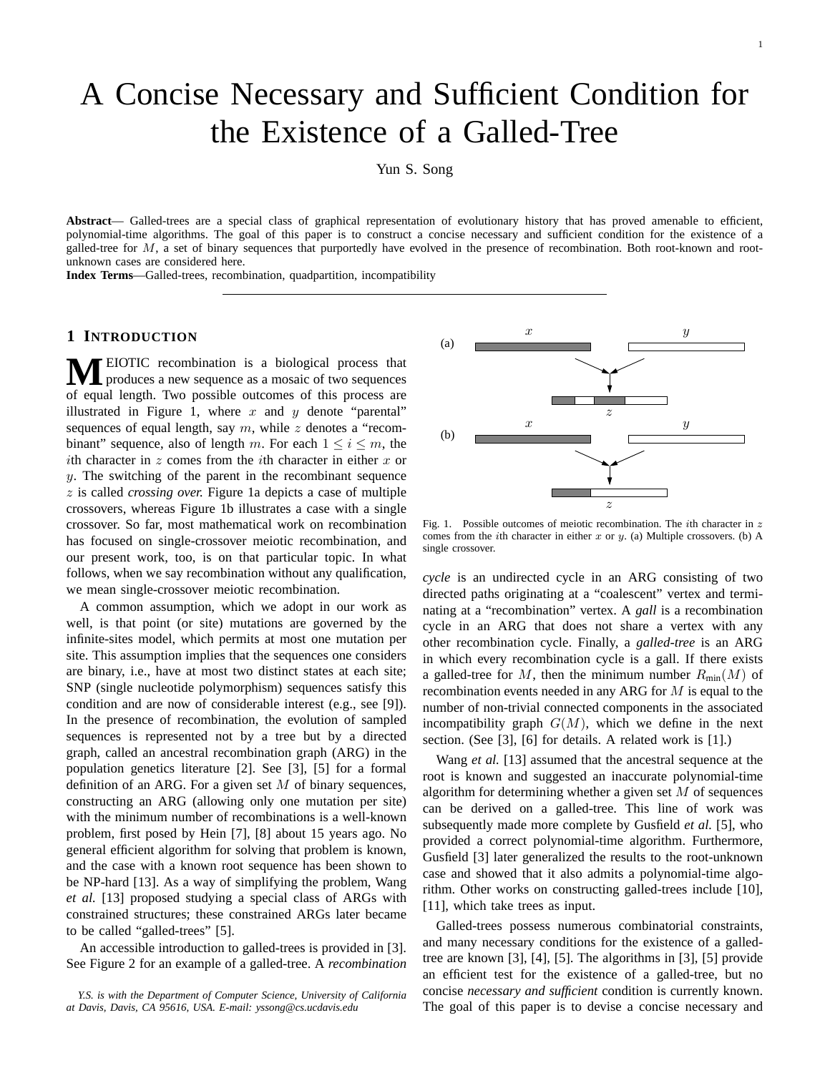# A Concise Necessary and Sufficient Condition for the Existence of a Galled-Tree

Yun S. Song

**Abstract**— Galled-trees are a special class of graphical representation of evolutionary history that has proved amenable to efficient, polynomial-time algorithms. The goal of this paper is to construct a concise necessary and sufficient condition for the existence of a galled-tree for M, a set of binary sequences that purportedly have evolved in the presence of recombination. Both root-known and rootunknown cases are considered here.

**Index Terms**—Galled-trees, recombination, quadpartition, incompatibility

### **1 INTRODUCTION**

**M**EIOTIC recombination is a biological process that produces a new sequence as a mosaic of two sequences of equal length. Two possible outcomes of this process are illustrated in Figure 1, where x and y denote "parental" sequences of equal length, say  $m$ , while  $z$  denotes a "recombinant" sequence, also of length m. For each  $1 \leq i \leq m$ , the ith character in  $z$  comes from the *i*th character in either  $x$  or y. The switching of the parent in the recombinant sequence z is called *crossing over.* Figure 1a depicts a case of multiple crossovers, whereas Figure 1b illustrates a case with a single crossover. So far, most mathematical work on recombination has focused on single-crossover meiotic recombination, and our present work, too, is on that particular topic. In what follows, when we say recombination without any qualification, we mean single-crossover meiotic recombination.

A common assumption, which we adopt in our work as well, is that point (or site) mutations are governed by the infinite-sites model, which permits at most one mutation per site. This assumption implies that the sequences one considers are binary, i.e., have at most two distinct states at each site; SNP (single nucleotide polymorphism) sequences satisfy this condition and are now of considerable interest (e.g., see [9]). In the presence of recombination, the evolution of sampled sequences is represented not by a tree but by a directed graph, called an ancestral recombination graph (ARG) in the population genetics literature [2]. See [3], [5] for a formal definition of an ARG. For a given set  $M$  of binary sequences, constructing an ARG (allowing only one mutation per site) with the minimum number of recombinations is a well-known problem, first posed by Hein [7], [8] about 15 years ago. No general efficient algorithm for solving that problem is known, and the case with a known root sequence has been shown to be NP-hard [13]. As a way of simplifying the problem, Wang *et al.* [13] proposed studying a special class of ARGs with constrained structures; these constrained ARGs later became to be called "galled-trees" [5].

An accessible introduction to galled-trees is provided in [3]. See Figure 2 for an example of a galled-tree. A *recombination*



Fig. 1. Possible outcomes of meiotic recombination. The *i*th character in  $z$ comes from the *i*th character in either  $x$  or  $y$ . (a) Multiple crossovers. (b) A single crossover.

*cycle* is an undirected cycle in an ARG consisting of two directed paths originating at a "coalescent" vertex and terminating at a "recombination" vertex. A *gall* is a recombination cycle in an ARG that does not share a vertex with any other recombination cycle. Finally, a *galled-tree* is an ARG in which every recombination cycle is a gall. If there exists a galled-tree for M, then the minimum number  $R_{\text{min}}(M)$  of recombination events needed in any ARG for M is equal to the number of non-trivial connected components in the associated incompatibility graph  $G(M)$ , which we define in the next section. (See [3], [6] for details. A related work is [1].)

Wang *et al.* [13] assumed that the ancestral sequence at the root is known and suggested an inaccurate polynomial-time algorithm for determining whether a given set  $M$  of sequences can be derived on a galled-tree. This line of work was subsequently made more complete by Gusfield *et al.* [5], who provided a correct polynomial-time algorithm. Furthermore, Gusfield [3] later generalized the results to the root-unknown case and showed that it also admits a polynomial-time algorithm. Other works on constructing galled-trees include [10], [11], which take trees as input.

Galled-trees possess numerous combinatorial constraints, and many necessary conditions for the existence of a galledtree are known [3], [4], [5]. The algorithms in [3], [5] provide an efficient test for the existence of a galled-tree, but no concise *necessary and sufficient* condition is currently known. The goal of this paper is to devise a concise necessary and

*Y.S. is with the Department of Computer Science, University of California at Davis, Davis, CA 95616, USA. E-mail: yssong@cs.ucdavis.edu*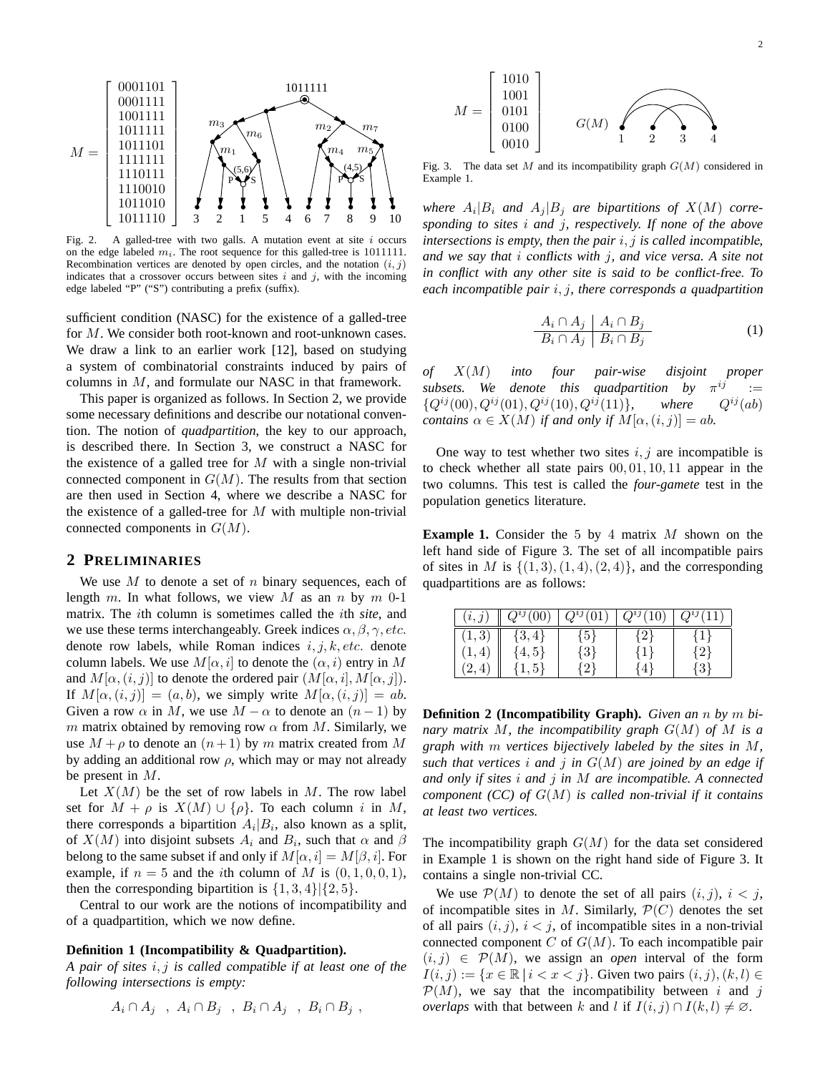

Fig. 2. A galled-tree with two galls. A mutation event at site  $i$  occurs on the edge labeled  $m_i$ . The root sequence for this galled-tree is 1011111. Recombination vertices are denoted by open circles, and the notation  $(i, j)$ indicates that a crossover occurs between sites  $i$  and  $j$ , with the incoming edge labeled "P" ("S") contributing a prefix (suffix).

sufficient condition (NASC) for the existence of a galled-tree for M. We consider both root-known and root-unknown cases. We draw a link to an earlier work [12], based on studying a system of combinatorial constraints induced by pairs of columns in M, and formulate our NASC in that framework.

This paper is organized as follows. In Section 2, we provide some necessary definitions and describe our notational convention. The notion of *quadpartition*, the key to our approach, is described there. In Section 3, we construct a NASC for the existence of a galled tree for  $M$  with a single non-trivial connected component in  $G(M)$ . The results from that section are then used in Section 4, where we describe a NASC for the existence of a galled-tree for  $M$  with multiple non-trivial connected components in  $G(M)$ .

#### **2 PRELIMINARIES**

We use  $M$  to denote a set of  $n$  binary sequences, each of length m. In what follows, we view M as an n by  $m \ 0-1$ matrix. The ith column is sometimes called the ith *site*, and we use these terms interchangeably. Greek indices  $\alpha, \beta, \gamma, etc.$ denote row labels, while Roman indices  $i, j, k, etc.$  denote column labels. We use  $M[\alpha, i]$  to denote the  $(\alpha, i)$  entry in M and  $M[\alpha, (i, j)]$  to denote the ordered pair  $(M[\alpha, i], M[\alpha, j])$ . If  $M[\alpha, (i, j)] = (a, b)$ , we simply write  $M[\alpha, (i, j)] = ab$ . Given a row  $\alpha$  in M, we use  $M - \alpha$  to denote an  $(n - 1)$  by m matrix obtained by removing row  $\alpha$  from M. Similarly, we use  $M + \rho$  to denote an  $(n+1)$  by m matrix created from M by adding an additional row  $\rho$ , which may or may not already be present in M.

Let  $X(M)$  be the set of row labels in M. The row label set for  $M + \rho$  is  $X(M) \cup {\rho}$ . To each column i in M, there corresponds a bipartition  $A_i|B_i$ , also known as a split, of  $X(M)$  into disjoint subsets  $A_i$  and  $B_i$ , such that  $\alpha$  and  $\beta$ belong to the same subset if and only if  $M[\alpha, i] = M[\beta, i]$ . For example, if  $n = 5$  and the *i*th column of M is  $(0, 1, 0, 0, 1)$ , then the corresponding bipartition is  $\{1, 3, 4\}$  $\{2, 5\}$ .

Central to our work are the notions of incompatibility and of a quadpartition, which we now define.

#### **Definition 1 (Incompatibility & Quadpartition).**

*A pair of sites* i, j *is called* compatible *if at least one of the following intersections is empty:*

$$
A_i \cap A_j \quad , \ A_i \cap B_j \quad , \ B_i \cap A_j \quad , \ B_i \cap B_j \quad ,
$$



Fig. 3. The data set M and its incompatibility graph  $G(M)$  considered in Example 1.

where  $A_i|B_i$  and  $A_j|B_j$  are bipartitions of  $X(M)$  corre*sponding to sites* i *and* j*, respectively. If none of the above intersections is empty, then the pair* i, j *is called* incompatible*, and we say that* i conflicts *with* j*, and vice versa. A site not in conflict with any other site is said to be* conflict-free. *To each incompatible pair* i, j*, there corresponds a* quadpartition

$$
\frac{A_i \cap A_j \mid A_i \cap B_j}{B_i \cap A_j \mid B_i \cap B_j} \tag{1}
$$

*of* X(M) *into four pair-wise disjoint proper subsets.* We denote this quadpartition by  $\pi^{ij}$  $:=$  ${Q^{ij}(00), Q^{ij}(01), Q^{ij}(10), Q^{ij}(11)}$ *, where*  $Q^{ij}(ab)$ *contains*  $\alpha \in X(M)$  *if and only if*  $M(\alpha, (i, j)) = ab$ .

One way to test whether two sites  $i, j$  are incompatible is to check whether all state pairs 00, 01, 10, 11 appear in the two columns. This test is called the *four-gamete* test in the population genetics literature.

**Example 1.** Consider the 5 by 4 matrix M shown on the left hand side of Figure 3. The set of all incompatible pairs of sites in M is  $\{(1,3), (1,4), (2,4)\}$ , and the corresponding quadpartitions are as follows:

| (i,j)  | $Q^{ij}(00)$ | $Q^{ij}(01)$ | $Q^{ij}$ ( | $\cdot v_{J+}$ |
|--------|--------------|--------------|------------|----------------|
| (1, 3) | $\{3,4\}$    | ${5}$        | $\{2\}$    |                |
|        | $\{4, 5\}$   | $\{3\}$      | $\{1\}$    | $\{2\}$        |
|        | 1, 5         | 2,           | 4          | $3^{\circ}$    |

**Definition 2 (Incompatibility Graph).** *Given an* n *by* m *binary matrix* M*, the incompatibility graph* G(M) *of* M *is a graph with* m *vertices bijectively labeled by the sites in* M*, such that vertices* i *and* j *in* G(M) *are joined by an edge if and only if sites* i *and* j *in* M *are incompatible. A connected component (CC) of* G(M) *is called* non-trivial *if it contains at least two vertices.*

The incompatibility graph  $G(M)$  for the data set considered in Example 1 is shown on the right hand side of Figure 3. It contains a single non-trivial CC.

We use  $\mathcal{P}(M)$  to denote the set of all pairs  $(i, j)$ ,  $i < j$ , of incompatible sites in M. Similarly,  $\mathcal{P}(C)$  denotes the set of all pairs  $(i, j)$ ,  $i < j$ , of incompatible sites in a non-trivial connected component  $C$  of  $G(M)$ . To each incompatible pair  $(i, j) \in \mathcal{P}(M)$ , we assign an *open* interval of the form  $I(i, j) := \{x \in \mathbb{R} \mid i < x < j\}.$  Given two pairs  $(i, j), (k, l) \in$  $\mathcal{P}(M)$ , we say that the incompatibility between i and j *overlaps* with that between k and l if  $I(i, j) \cap I(k, l) \neq \emptyset$ .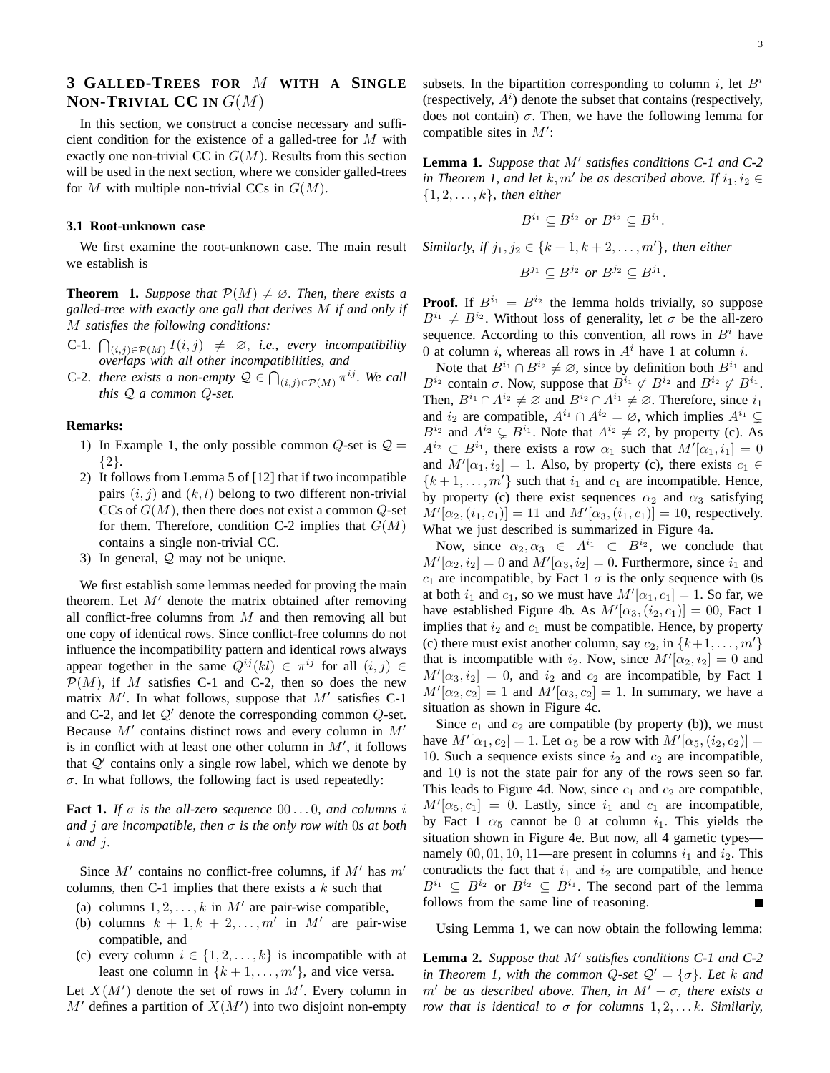## **3 GALLED-TREES FOR** M **WITH A SINGLE NON-TRIVIAL CC** IN  $G(M)$

In this section, we construct a concise necessary and sufficient condition for the existence of a galled-tree for M with exactly one non-trivial CC in  $G(M)$ . Results from this section will be used in the next section, where we consider galled-trees for M with multiple non-trivial CCs in  $G(M)$ .

#### **3.1 Root-unknown case**

We first examine the root-unknown case. The main result we establish is

**Theorem 1.** *Suppose that*  $\mathcal{P}(M) \neq \emptyset$ *. Then, there exists a galled-tree with exactly one gall that derives* M *if and only if* M *satisfies the following conditions:*

- C-1.  $\bigcap_{(i,j)\in \mathcal{P}(M)} I(i,j) \neq \emptyset$ , *i.e., every incompatibility overlaps with all other incompatibilities, and*
- C-2. *there exists a non-empty*  $\mathcal{Q} \in \bigcap_{(i,j)\in \mathcal{P}(M)} \pi^{ij}$ . We call *this* Q *a common* Q*-set.*

#### **Remarks:**

- 1) In Example 1, the only possible common  $Q$ -set is  $Q =$ {2}.
- 2) It follows from Lemma 5 of [12] that if two incompatible pairs  $(i, j)$  and  $(k, l)$  belong to two different non-trivial CCs of  $G(M)$ , then there does not exist a common Q-set for them. Therefore, condition C-2 implies that  $G(M)$ contains a single non-trivial CC.
- 3) In general, Q may not be unique.

We first establish some lemmas needed for proving the main theorem. Let  $M'$  denote the matrix obtained after removing all conflict-free columns from  $M$  and then removing all but one copy of identical rows. Since conflict-free columns do not influence the incompatibility pattern and identical rows always appear together in the same  $Q^{ij}(kl) \in \pi^{ij}$  for all  $(i, j) \in$  $\mathcal{P}(M)$ , if M satisfies C-1 and C-2, then so does the new matrix  $M'$ . In what follows, suppose that  $M'$  satisfies C-1 and C-2, and let  $Q'$  denote the corresponding common  $Q$ -set. Because  $M'$  contains distinct rows and every column in  $M'$ is in conflict with at least one other column in  $M'$ , it follows that  $Q'$  contains only a single row label, which we denote by  $\sigma$ . In what follows, the following fact is used repeatedly:

**Fact 1.** *If*  $\sigma$  *is the all-zero sequence* 00...0, and columns *i and* j *are incompatible, then* σ *is the only row with* 0*s at both* i *and* j*.*

Since  $M'$  contains no conflict-free columns, if  $M'$  has  $m'$ columns, then C-1 implies that there exists a  $k$  such that

- (a) columns  $1, 2, \ldots, k$  in M' are pair-wise compatible,
- (b) columns  $k + 1, k + 2, \ldots, m'$  in M' are pair-wise compatible, and
- (c) every column  $i \in \{1, 2, \ldots, k\}$  is incompatible with at least one column in  $\{k+1,\ldots,m'\}$ , and vice versa.

Let  $X(M')$  denote the set of rows in M'. Every column in  $M'$  defines a partition of  $X(M')$  into two disjoint non-empty subsets. In the bipartition corresponding to column i, let  $B^i$ (respectively,  $A<sup>i</sup>$ ) denote the subset that contains (respectively, does not contain)  $\sigma$ . Then, we have the following lemma for compatible sites in  $M'$ :

Lemma 1. Suppose that M' satisfies conditions C-1 and C-2 *in Theorem 1, and let*  $k, m'$  *be as described above. If*  $i_1, i_2 \in$ {1, 2, . . . , k}*, then either*

$$
B^{i_1} \subseteq B^{i_2} \text{ or } B^{i_2} \subseteq B^{i_1}.
$$

*Similarly, if*  $j_1, j_2 \in \{k+1, k+2, ..., m'\}$ *, then either* 

$$
B^{j_1} \subseteq B^{j_2} \text{ or } B^{j_2} \subseteq B^{j_1}.
$$

**Proof.** If  $B^{i_1} = B^{i_2}$  the lemma holds trivially, so suppose  $B^{i_1} \neq B^{i_2}$ . Without loss of generality, let  $\sigma$  be the all-zero sequence. According to this convention, all rows in  $B^i$  have 0 at column i, whereas all rows in  $A<sup>i</sup>$  have 1 at column i.

Note that  $B^{i_1} \cap B^{i_2} \neq \emptyset$ , since by definition both  $B^{i_1}$  and  $B^{i_2}$  contain  $\sigma$ . Now, suppose that  $B^{i_1} \not\subset B^{i_2}$  and  $B^{i_2} \not\subset B^{i_1}$ . Then,  $B^{i_1} \cap A^{i_2} \neq \emptyset$  and  $B^{i_2} \cap A^{i_1} \neq \emptyset$ . Therefore, since  $i_1$ and  $i_2$  are compatible,  $A^{i_1} \cap A^{i_2} = \emptyset$ , which implies  $A^{i_1} \subsetneq$  $B^{i_2}$  and  $A^{i_2} \subsetneq B^{i_1}$ . Note that  $A^{i_2} \neq \emptyset$ , by property (c). As  $A^{i_2} \subset B^{i_1}$ , there exists a row  $\alpha_1$  such that  $M'[\alpha_1, i_1] = 0$ and  $M'[\alpha_1, i_2] = 1$ . Also, by property (c), there exists  $c_1 \in$  $\{k+1,\ldots,m'\}$  such that  $i_1$  and  $c_1$  are incompatible. Hence, by property (c) there exist sequences  $\alpha_2$  and  $\alpha_3$  satisfying  $M'[\alpha_2, (i_1, c_1)] = 11$  and  $M'[\alpha_3, (i_1, c_1)] = 10$ , respectively. What we just described is summarized in Figure 4a.

Now, since  $\alpha_2, \alpha_3 \in A^{i_1} \subset B^{i_2}$ , we conclude that  $M'[\alpha_2, i_2] = 0$  and  $M'[\alpha_3, i_2] = 0$ . Furthermore, since  $i_1$  and  $c_1$  are incompatible, by Fact 1  $\sigma$  is the only sequence with 0s at both  $i_1$  and  $c_1$ , so we must have  $M'[\alpha_1, c_1] = 1$ . So far, we have established Figure 4b. As  $M'[\alpha_3, (i_2, c_1)] = 00$ , Fact 1 implies that  $i_2$  and  $c_1$  must be compatible. Hence, by property (c) there must exist another column, say  $c_2$ , in  $\{k+1, \ldots, m'\}$ that is incompatible with  $i_2$ . Now, since  $M'[\alpha_2, i_2] = 0$  and  $M'[\alpha_3, i_2] = 0$ , and  $i_2$  and  $c_2$  are incompatible, by Fact 1  $M'[\alpha_2, c_2] = 1$  and  $M'[\alpha_3, c_2] = 1$ . In summary, we have a situation as shown in Figure 4c.

Since  $c_1$  and  $c_2$  are compatible (by property (b)), we must have  $M'[\alpha_1, c_2] = 1$ . Let  $\alpha_5$  be a row with  $M'[\alpha_5, (i_2, c_2)] =$ 10. Such a sequence exists since  $i_2$  and  $c_2$  are incompatible, and 10 is not the state pair for any of the rows seen so far. This leads to Figure 4d. Now, since  $c_1$  and  $c_2$  are compatible,  $M'[\alpha_5, c_1] = 0$ . Lastly, since  $i_1$  and  $c_1$  are incompatible, by Fact 1  $\alpha_5$  cannot be 0 at column  $i_1$ . This yields the situation shown in Figure 4e. But now, all 4 gametic types namely  $00, 01, 10, 11$ —are present in columns  $i_1$  and  $i_2$ . This contradicts the fact that  $i_1$  and  $i_2$  are compatible, and hence  $B^{i_1} \subseteq B^{i_2}$  or  $B^{i_2} \subseteq B^{i_1}$ . The second part of the lemma follows from the same line of reasoning.

Using Lemma 1, we can now obtain the following lemma:

Lemma 2. Suppose that M' satisfies conditions C-1 and C-2 *in Theorem 1, with the common Q-set*  $Q' = \{\sigma\}$ *. Let* k and  $m'$  be as described above. Then, in  $M' - \sigma$ , there exists a *row that is identical to*  $\sigma$  *for columns* 1, 2, ... *k. Similarly,*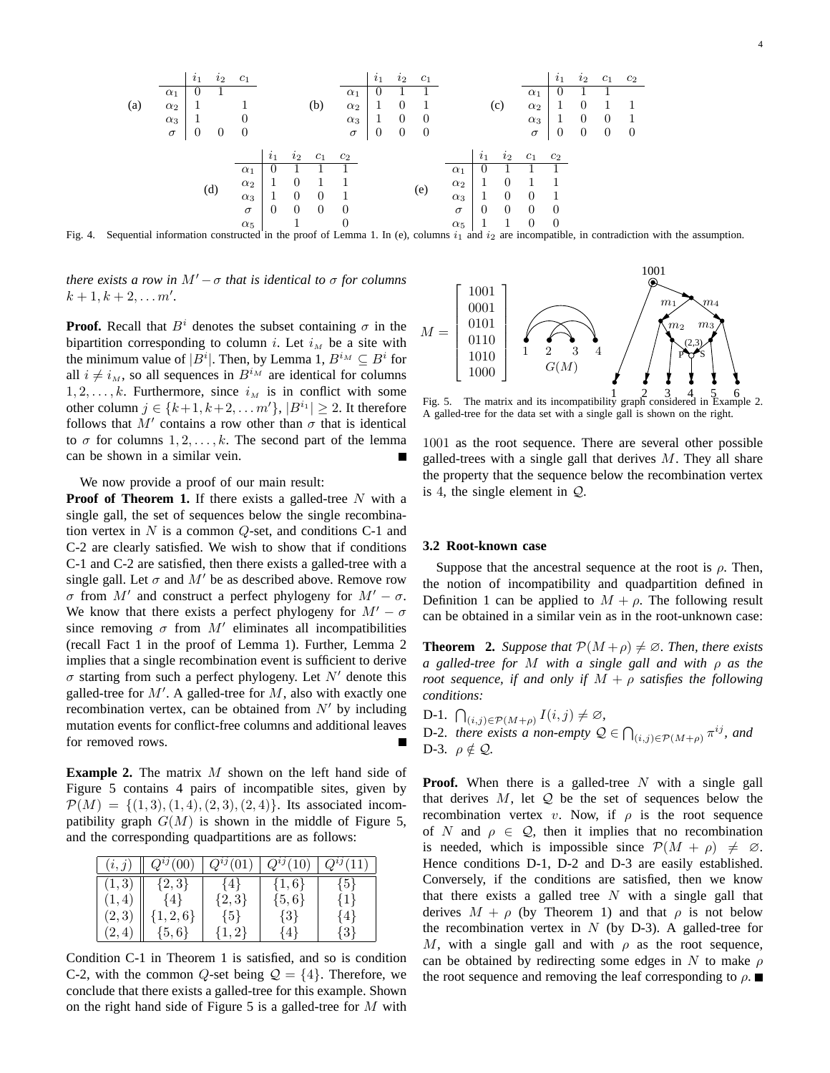

Fig. 4. Sequential information constructed in the proof of Lemma 1. In (e), columns  $i_1$  and  $i_2$  are incompatible, in contradiction with the assumption.

*there exists a row in*  $M' - \sigma$  *that is identical to*  $\sigma$  *for columns*  $k + 1, k + 2, \ldots m'$ .

**Proof.** Recall that  $B^i$  denotes the subset containing  $\sigma$  in the bipartition corresponding to column i. Let  $i<sub>M</sub>$  be a site with the minimum value of  $|B^i|$ . Then, by Lemma 1,  $B^{i_M} \subseteq B^i$  for all  $i \neq i<sub>M</sub>$ , so all sequences in  $B^{i_M}$  are identical for columns  $1, 2, \ldots, k$ . Furthermore, since  $i_M$  is in conflict with some other column  $j \in \{k+1, k+2, \ldots m'\}, |B^{i_1}| \geq 2$ . It therefore follows that  $M'$  contains a row other than  $\sigma$  that is identical to  $\sigma$  for columns 1, 2, ..., k. The second part of the lemma can be shown in a similar vein.

We now provide a proof of our main result:

**Proof of Theorem 1.** If there exists a galled-tree N with a single gall, the set of sequences below the single recombination vertex in  $N$  is a common  $Q$ -set, and conditions C-1 and C-2 are clearly satisfied. We wish to show that if conditions C-1 and C-2 are satisfied, then there exists a galled-tree with a single gall. Let  $\sigma$  and  $M'$  be as described above. Remove row σ from M' and construct a perfect phylogeny for  $M' - \sigma$ . We know that there exists a perfect phylogeny for  $M' - \sigma$ since removing  $\sigma$  from  $M'$  eliminates all incompatibilities (recall Fact 1 in the proof of Lemma 1). Further, Lemma 2 implies that a single recombination event is sufficient to derive  $\sigma$  starting from such a perfect phylogeny. Let  $N'$  denote this galled-tree for  $M'$ . A galled-tree for  $M$ , also with exactly one recombination vertex, can be obtained from  $N'$  by including mutation events for conflict-free columns and additional leaves for removed rows.

**Example 2.** The matrix M shown on the left hand side of Figure 5 contains 4 pairs of incompatible sites, given by  $\mathcal{P}(M) = \{(1,3), (1,4), (2,3), (2,4)\}.$  Its associated incompatibility graph  $G(M)$  is shown in the middle of Figure 5, and the corresponding quadpartitions are as follows:

| $\left(i,j\right)$ | $Q^{ij}(00)$    | $Q^{ij}(01$    | $Q^{ij}(10)$ | $Q^{ij}(11)$ |
|--------------------|-----------------|----------------|--------------|--------------|
| [1,3]              | $\{2,3\}$       | 4 <sup>k</sup> | $\{1,6\}$    | ${5}$        |
| $\mathbf{F}$       | 44 <sub>1</sub> | $\{2,3\}$      | $\{5,6\}$    | $\{1\}$      |
| $\left[2,3\right)$ | $\{1,2,6\}$     | $\{5\}$        | $\{3\}$      | $\{4\}$      |
| 4                  | $\{5,6\}$       | $\{1,2\}$      | ∤4           | {3}          |

Condition C-1 in Theorem 1 is satisfied, and so is condition C-2, with the common Q-set being  $\mathcal{Q} = \{4\}$ . Therefore, we conclude that there exists a galled-tree for this example. Shown on the right hand side of Figure 5 is a galled-tree for  $M$  with



A galled-tree for the data set with a single gall is shown on the right.

1001 as the root sequence. There are several other possible galled-trees with a single gall that derives  $M$ . They all share the property that the sequence below the recombination vertex is 4, the single element in Q.

#### **3.2 Root-known case**

Suppose that the ancestral sequence at the root is  $\rho$ . Then, the notion of incompatibility and quadpartition defined in Definition 1 can be applied to  $M + \rho$ . The following result can be obtained in a similar vein as in the root-unknown case:

**Theorem 2.** *Suppose that*  $\mathcal{P}(M + \rho) \neq \emptyset$ *. Then, there exists a galled-tree for* M *with a single gall and with* ρ *as the root sequence, if and only if*  $M + \rho$  *satisfies the following conditions:*

D-1.  $\bigcap_{(i,j)\in \mathcal{P}(M+\rho)} I(i,j) \neq \emptyset$ , D-2. *there exists a non-empty*  $\mathcal{Q} \in \bigcap_{(i,j)\in\mathcal{P}(M+\rho)} \pi^{ij}$ , and D-3.  $\rho \notin \mathcal{Q}$ .

**Proof.** When there is a galled-tree  $N$  with a single gall that derives  $M$ , let  $Q$  be the set of sequences below the recombination vertex v. Now, if  $\rho$  is the root sequence of N and  $\rho \in \mathcal{Q}$ , then it implies that no recombination is needed, which is impossible since  $\mathcal{P}(M + \rho) \neq \emptyset$ . Hence conditions D-1, D-2 and D-3 are easily established. Conversely, if the conditions are satisfied, then we know that there exists a galled tree  $N$  with a single gall that derives  $M + \rho$  (by Theorem 1) and that  $\rho$  is not below the recombination vertex in  $N$  (by D-3). A galled-tree for M, with a single gall and with  $\rho$  as the root sequence, can be obtained by redirecting some edges in N to make  $\rho$ the root sequence and removing the leaf corresponding to  $\rho$ .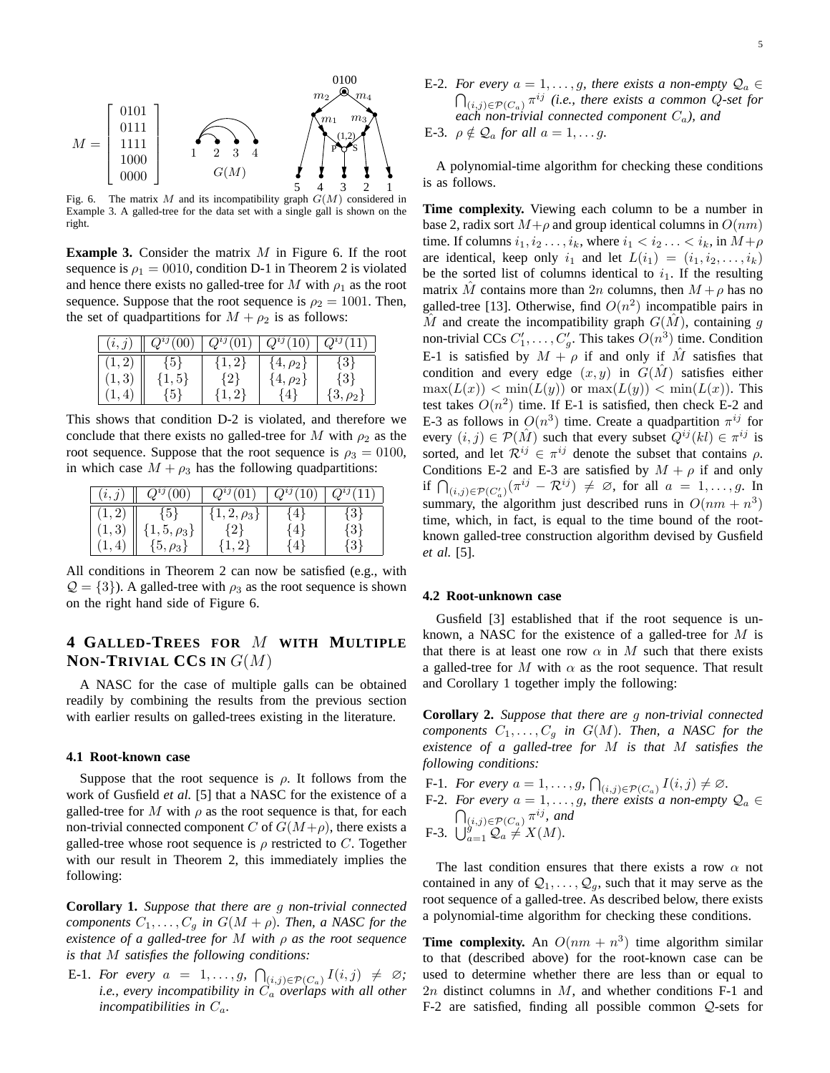

Fig. 6. The matrix M and its incompatibility graph  $G(M)$  considered in Example 3. A galled-tree for the data set with a single gall is shown on the right.

**Example 3.** Consider the matrix M in Figure 6. If the root sequence is  $\rho_1 = 0010$ , condition D-1 in Theorem 2 is violated and hence there exists no galled-tree for M with  $\rho_1$  as the root sequence. Suppose that the root sequence is  $\rho_2 = 1001$ . Then, the set of quadpartitions for  $M + \rho_2$  is as follows:

| (i, j) | $Q^{ij}(\overline{00}$ | $Q^{ij}(01)$  | $Q^{ij}(10)$   | $Q^{ij}(% \begin{bmatrix} \zeta&\zeta&\zeta\end{bmatrix} \left( \begin{bmatrix} \zeta&\zeta&\zeta\end{bmatrix}\right) =\bar{Q}^{ij}(\zeta;\zeta)$ |
|--------|------------------------|---------------|----------------|---------------------------------------------------------------------------------------------------------------------------------------------------|
|        | $-151$                 | $\{1,2\}$     | $\{4,\rho_2\}$ | {3}                                                                                                                                               |
| . 3    | $\{1, 5\}$             |               | $4, \rho_2$    | 13!                                                                                                                                               |
|        | 15.                    | $\cdot$ , $2$ |                | $\{3, \rho_2\}$                                                                                                                                   |

This shows that condition D-2 is violated, and therefore we conclude that there exists no galled-tree for M with  $\rho_2$  as the root sequence. Suppose that the root sequence is  $\rho_3 = 0100$ , in which case  $M + \rho_3$  has the following quadpartitions:

| (i,j) | $Q^{ij}(00)$     | $Q^{ij}(01)$     | $Q^{ij}(10)$ | $O^{ij}$ |
|-------|------------------|------------------|--------------|----------|
|       | ${5}$            | $\{1,2,\rho_3\}$ | 41 }         | $\{3\}$  |
| 1, 3  | $1, 5, \rho_3\}$ | $2^{\circ}$      | ⊀4 լ         | 131      |
|       | $\{5,\rho_3\}$   |                  |              |          |

All conditions in Theorem 2 can now be satisfied (e.g., with  $\mathcal{Q} = \{3\}$ ). A galled-tree with  $\rho_3$  as the root sequence is shown on the right hand side of Figure 6.

## **4 GALLED-TREES FOR** M **WITH MULTIPLE NON-TRIVIAL CCS IN** G(M)

A NASC for the case of multiple galls can be obtained readily by combining the results from the previous section with earlier results on galled-trees existing in the literature.

#### **4.1 Root-known case**

Suppose that the root sequence is  $\rho$ . It follows from the work of Gusfield *et al.* [5] that a NASC for the existence of a galled-tree for M with  $\rho$  as the root sequence is that, for each non-trivial connected component C of  $G(M+\rho)$ , there exists a galled-tree whose root sequence is  $\rho$  restricted to C. Together with our result in Theorem 2, this immediately implies the following:

**Corollary 1.** *Suppose that there are* g *non-trivial connected components*  $C_1, \ldots, C_g$  *in*  $G(M + \rho)$ *. Then, a NASC for the existence of a galled-tree for* M *with* ρ *as the root sequence is that* M *satisfies the following conditions:*

E-1. *For every*  $a = 1, \ldots, g, \bigcap_{(i,j) \in \mathcal{P}(C_a)} I(i,j) \neq \emptyset;$ *i.e., every incompatibility in*  $\ddot{C}_a$  *overlaps with all other incompatibilities in*  $C_a$ *.* 

- E-2. *For every*  $a = 1, \ldots, g$ , there exists a non-empty  $\mathcal{Q}_a \in$  $\bigcap_{(i,j)\in\mathcal{P}(C_a)}\pi^{ij}$  (i.e., there exists a common Q-set for *each non-trivial connected component* Ca*), and*
- E-3.  $\rho \notin \mathcal{Q}_a$  *for all*  $a = 1, \ldots g$ *.*

A polynomial-time algorithm for checking these conditions is as follows.

**Time complexity.** Viewing each column to be a number in base 2, radix sort  $M+\rho$  and group identical columns in  $O(nm)$ time. If columns  $i_1, i_2, \ldots, i_k$ , where  $i_1 < i_2, \ldots < i_k$ , in  $M + \rho$ are identical, keep only  $i_1$  and let  $L(i_1) = (i_1, i_2, \ldots, i_k)$ be the sorted list of columns identical to  $i_1$ . If the resulting matrix M contains more than 2n columns, then  $M + \rho$  has no galled-tree [13]. Otherwise, find  $O(n^2)$  incompatible pairs in  $\hat{M}$  and create the incompatibility graph  $G(\hat{M})$ , containing g non-trivial CCs  $C'_1, \ldots, C'_g$ . This takes  $O(n^3)$  time. Condition E-1 is satisfied by  $M + \rho$  if and only if  $\hat{M}$  satisfies that condition and every edge  $(x, y)$  in  $G(\hat{M})$  satisfies either  $\max(L(x)) < \min(L(y))$  or  $\max(L(y)) < \min(L(x))$ . This test takes  $O(n^2)$  time. If E-1 is satisfied, then check E-2 and E-3 as follows in  $O(n^3)$  time. Create a quadpartition  $\pi^{ij}$  for every  $(i, j) \in \mathcal{P}(\hat{M})$  such that every subset  $\hat{Q}^{ij}(kl) \in \pi^{ij}$  is sorted, and let  $\mathcal{R}^{ij} \in \pi^{ij}$  denote the subset that contains  $\rho$ . Conditions E-2 and E-3 are satisfied by  $M + \rho$  if and only if  $\bigcap_{(i,j)\in \mathcal{P}(C'_a)} (\pi^{ij} - \mathcal{R}^{ij}) \neq \emptyset$ , for all  $a = 1, \ldots, g$ . In summary, the algorithm just described runs in  $O(nm + n^3)$ time, which, in fact, is equal to the time bound of the rootknown galled-tree construction algorithm devised by Gusfield *et al.* [5].

#### **4.2 Root-unknown case**

Gusfield [3] established that if the root sequence is unknown, a NASC for the existence of a galled-tree for M is that there is at least one row  $\alpha$  in M such that there exists a galled-tree for M with  $\alpha$  as the root sequence. That result and Corollary 1 together imply the following:

**Corollary 2.** *Suppose that there are* g *non-trivial connected components*  $C_1, \ldots, C_q$  *in*  $G(M)$ *. Then, a NASC for the existence of a galled-tree for* M *is that* M *satisfies the following conditions:*

F-1. *For every*  $a = 1, \ldots, g, \bigcap_{(i,j)\in \mathcal{P}(C_a)} I(i,j) \neq \emptyset$ . F-2. *For every*  $a = 1, \ldots, g$ , there exists a non-empty  $\mathcal{Q}_a \in$  $\bigcap_{(i,j)\in \mathcal{P}(C_a)} \pi^{ij}$ , and F-3.  $\bigcup_{a=1}^{s} \mathcal{Q}_a \neq X(M)$ .

The last condition ensures that there exists a row  $\alpha$  not contained in any of  $Q_1, \ldots, Q_g$ , such that it may serve as the root sequence of a galled-tree. As described below, there exists a polynomial-time algorithm for checking these conditions.

**Time complexity.** An  $O(nm + n^3)$  time algorithm similar to that (described above) for the root-known case can be used to determine whether there are less than or equal to  $2n$  distinct columns in  $M$ , and whether conditions F-1 and F-2 are satisfied, finding all possible common Q-sets for